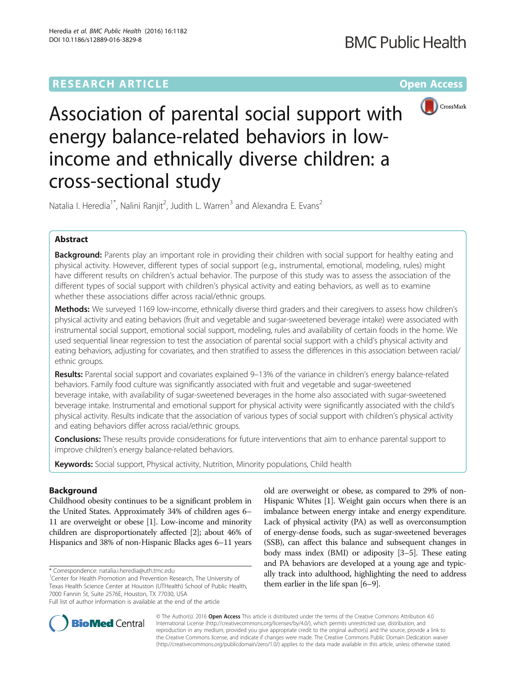# **RESEARCH ARTICLE Example 2014 12:30 The Contract of Contract ACCESS**



Association of parental social support with energy balance-related behaviors in lowincome and ethnically diverse children: a cross-sectional study

Natalia I. Heredia<sup>1\*</sup>, Nalini Ranjit<sup>2</sup>, Judith L. Warren<sup>3</sup> and Alexandra E. Evans<sup>2</sup>

# Abstract

Background: Parents play an important role in providing their children with social support for healthy eating and physical activity. However, different types of social support (e.g., instrumental, emotional, modeling, rules) might have different results on children's actual behavior. The purpose of this study was to assess the association of the different types of social support with children's physical activity and eating behaviors, as well as to examine whether these associations differ across racial/ethnic groups.

Methods: We surveyed 1169 low-income, ethnically diverse third graders and their caregivers to assess how children's physical activity and eating behaviors (fruit and vegetable and sugar-sweetened beverage intake) were associated with instrumental social support, emotional social support, modeling, rules and availability of certain foods in the home. We used sequential linear regression to test the association of parental social support with a child's physical activity and eating behaviors, adjusting for covariates, and then stratified to assess the differences in this association between racial/ ethnic groups.

Results: Parental social support and covariates explained 9-13% of the variance in children's energy balance-related behaviors. Family food culture was significantly associated with fruit and vegetable and sugar-sweetened beverage intake, with availability of sugar-sweetened beverages in the home also associated with sugar-sweetened beverage intake. Instrumental and emotional support for physical activity were significantly associated with the child's physical activity. Results indicate that the association of various types of social support with children's physical activity and eating behaviors differ across racial/ethnic groups.

**Conclusions:** These results provide considerations for future interventions that aim to enhance parental support to improve children's energy balance-related behaviors.

Keywords: Social support, Physical activity, Nutrition, Minority populations, Child health

# Background

Childhood obesity continues to be a significant problem in the United States. Approximately 34% of children ages 6– 11 are overweight or obese [\[1\]](#page-10-0). Low-income and minority children are disproportionately affected [[2](#page-10-0)]; about 46% of Hispanics and 38% of non-Hispanic Blacks ages 6–11 years

\* Correspondence: [natalia.i.heredia@uth.tmc.edu](mailto:natalia.i.heredia@uth.tmc.edu) <sup>1</sup>

old are overweight or obese, as compared to 29% of non-Hispanic Whites [\[1\]](#page-10-0). Weight gain occurs when there is an imbalance between energy intake and energy expenditure. Lack of physical activity (PA) as well as overconsumption of energy-dense foods, such as sugar-sweetened beverages (SSB), can affect this balance and subsequent changes in body mass index (BMI) or adiposity [\[3](#page-10-0)–[5](#page-10-0)]. These eating and PA behaviors are developed at a young age and typically track into adulthood, highlighting the need to address them earlier in the life span [[6](#page-10-0)–[9](#page-10-0)].



© The Author(s). 2016 Open Access This article is distributed under the terms of the Creative Commons Attribution 4.0 International License [\(http://creativecommons.org/licenses/by/4.0/](http://creativecommons.org/licenses/by/4.0/)), which permits unrestricted use, distribution, and reproduction in any medium, provided you give appropriate credit to the original author(s) and the source, provide a link to the Creative Commons license, and indicate if changes were made. The Creative Commons Public Domain Dedication waiver [\(http://creativecommons.org/publicdomain/zero/1.0/](http://creativecommons.org/publicdomain/zero/1.0/)) applies to the data made available in this article, unless otherwise stated.

<sup>&</sup>lt;sup>1</sup> Center for Health Promotion and Prevention Research, The University of Texas Health Science Center at Houston (UTHealth) School of Public Health, 7000 Fannin St, Suite 2576E, Houston, TX 77030, USA Full list of author information is available at the end of the article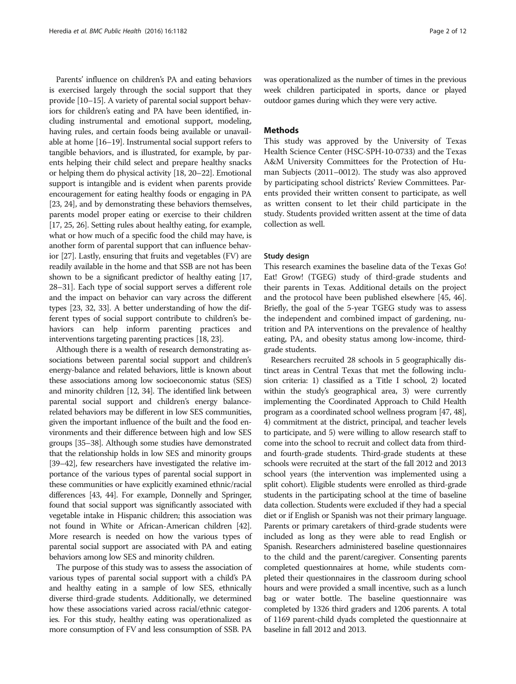Parents' influence on children's PA and eating behaviors is exercised largely through the social support that they provide [\[10](#page-10-0)–[15\]](#page-10-0). A variety of parental social support behaviors for children's eating and PA have been identified, including instrumental and emotional support, modeling, having rules, and certain foods being available or unavailable at home [[16](#page-10-0)–[19](#page-10-0)]. Instrumental social support refers to tangible behaviors, and is illustrated, for example, by parents helping their child select and prepare healthy snacks or helping them do physical activity [\[18, 20](#page-10-0)–[22](#page-10-0)]. Emotional support is intangible and is evident when parents provide encouragement for eating healthy foods or engaging in PA [[23](#page-10-0), [24\]](#page-10-0), and by demonstrating these behaviors themselves, parents model proper eating or exercise to their children [[17](#page-10-0), [25](#page-10-0), [26\]](#page-10-0). Setting rules about healthy eating, for example, what or how much of a specific food the child may have, is another form of parental support that can influence behavior [\[27\]](#page-10-0). Lastly, ensuring that fruits and vegetables (FV) are readily available in the home and that SSB are not has been shown to be a significant predictor of healthy eating [\[17](#page-10-0), [28](#page-10-0)–[31\]](#page-10-0). Each type of social support serves a different role and the impact on behavior can vary across the different types [[23, 32](#page-10-0), [33](#page-10-0)]. A better understanding of how the different types of social support contribute to children's behaviors can help inform parenting practices and interventions targeting parenting practices [\[18, 23](#page-10-0)].

Although there is a wealth of research demonstrating associations between parental social support and children's energy-balance and related behaviors, little is known about these associations among low socioeconomic status (SES) and minority children [\[12, 34](#page-10-0)]. The identified link between parental social support and children's energy balancerelated behaviors may be different in low SES communities, given the important influence of the built and the food environments and their difference between high and low SES groups [\[35](#page-10-0)–[38](#page-10-0)]. Although some studies have demonstrated that the relationship holds in low SES and minority groups [[39](#page-10-0)–[42](#page-10-0)], few researchers have investigated the relative importance of the various types of parental social support in these communities or have explicitly examined ethnic/racial differences [\[43](#page-10-0), [44](#page-10-0)]. For example, Donnelly and Springer, found that social support was significantly associated with vegetable intake in Hispanic children; this association was not found in White or African-American children [\[42](#page-10-0)]. More research is needed on how the various types of parental social support are associated with PA and eating behaviors among low SES and minority children.

The purpose of this study was to assess the association of various types of parental social support with a child's PA and healthy eating in a sample of low SES, ethnically diverse third-grade students. Additionally, we determined how these associations varied across racial/ethnic categories. For this study, healthy eating was operationalized as more consumption of FV and less consumption of SSB. PA was operationalized as the number of times in the previous week children participated in sports, dance or played outdoor games during which they were very active.

### Methods

This study was approved by the University of Texas Health Science Center (HSC-SPH-10-0733) and the Texas A&M University Committees for the Protection of Human Subjects (2011–0012). The study was also approved by participating school districts' Review Committees. Parents provided their written consent to participate, as well as written consent to let their child participate in the study. Students provided written assent at the time of data collection as well.

### Study design

This research examines the baseline data of the Texas Go! Eat! Grow! (TGEG) study of third-grade students and their parents in Texas. Additional details on the project and the protocol have been published elsewhere [\[45](#page-10-0), [46](#page-10-0)]. Briefly, the goal of the 5-year TGEG study was to assess the independent and combined impact of gardening, nutrition and PA interventions on the prevalence of healthy eating, PA, and obesity status among low-income, thirdgrade students.

Researchers recruited 28 schools in 5 geographically distinct areas in Central Texas that met the following inclusion criteria: 1) classified as a Title I school, 2) located within the study's geographical area, 3) were currently implementing the Coordinated Approach to Child Health program as a coordinated school wellness program [\[47](#page-11-0), [48](#page-11-0)], 4) commitment at the district, principal, and teacher levels to participate, and 5) were willing to allow research staff to come into the school to recruit and collect data from thirdand fourth-grade students. Third-grade students at these schools were recruited at the start of the fall 2012 and 2013 school years (the intervention was implemented using a split cohort). Eligible students were enrolled as third-grade students in the participating school at the time of baseline data collection. Students were excluded if they had a special diet or if English or Spanish was not their primary language. Parents or primary caretakers of third-grade students were included as long as they were able to read English or Spanish. Researchers administered baseline questionnaires to the child and the parent/caregiver. Consenting parents completed questionnaires at home, while students completed their questionnaires in the classroom during school hours and were provided a small incentive, such as a lunch bag or water bottle. The baseline questionnaire was completed by 1326 third graders and 1206 parents. A total of 1169 parent-child dyads completed the questionnaire at baseline in fall 2012 and 2013.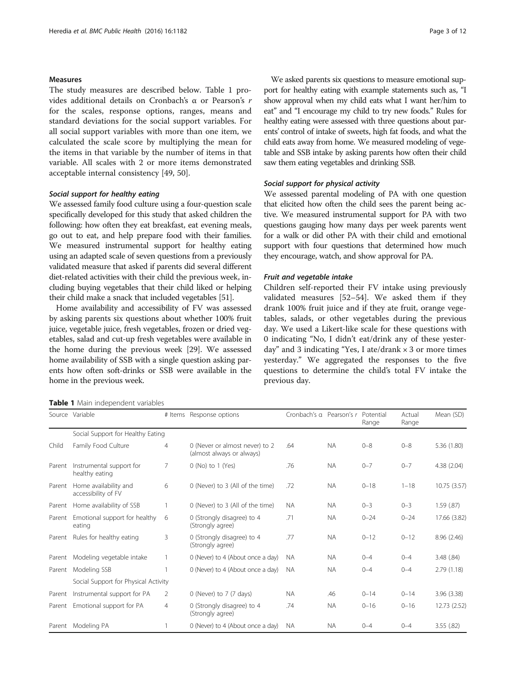### <span id="page-2-0"></span>Measures

The study measures are described below. Table 1 provides additional details on Cronbach's α or Pearson's r for the scales, response options, ranges, means and standard deviations for the social support variables. For all social support variables with more than one item, we calculated the scale score by multiplying the mean for the items in that variable by the number of items in that variable. All scales with 2 or more items demonstrated acceptable internal consistency [[49](#page-11-0), [50](#page-11-0)].

### Social support for healthy eating

We assessed family food culture using a four-question scale specifically developed for this study that asked children the following: how often they eat breakfast, eat evening meals, go out to eat, and help prepare food with their families. We measured instrumental support for healthy eating using an adapted scale of seven questions from a previously validated measure that asked if parents did several different diet-related activities with their child the previous week, including buying vegetables that their child liked or helping their child make a snack that included vegetables [[51](#page-11-0)].

Home availability and accessibility of FV was assessed by asking parents six questions about whether 100% fruit juice, vegetable juice, fresh vegetables, frozen or dried vegetables, salad and cut-up fresh vegetables were available in the home during the previous week [\[29](#page-10-0)]. We assessed home availability of SSB with a single question asking parents how often soft-drinks or SSB were available in the home in the previous week.

Table 1 Main independent variables

We asked parents six questions to measure emotional support for healthy eating with example statements such as, "I show approval when my child eats what I want her/him to eat" and "I encourage my child to try new foods." Rules for healthy eating were assessed with three questions about parents' control of intake of sweets, high fat foods, and what the child eats away from home. We measured modeling of vegetable and SSB intake by asking parents how often their child saw them eating vegetables and drinking SSB.

### Social support for physical activity

We assessed parental modeling of PA with one question that elicited how often the child sees the parent being active. We measured instrumental support for PA with two questions gauging how many days per week parents went for a walk or did other PA with their child and emotional support with four questions that determined how much they encourage, watch, and show approval for PA.

#### Fruit and vegetable intake

Children self-reported their FV intake using previously validated measures [\[52](#page-11-0)–[54\]](#page-11-0). We asked them if they drank 100% fruit juice and if they ate fruit, orange vegetables, salads, or other vegetables during the previous day. We used a Likert-like scale for these questions with 0 indicating "No, I didn't eat/drink any of these yesterday" and 3 indicating "Yes, I ate/drank  $\times$  3 or more times yesterday." We aggregated the responses to the five questions to determine the child's total FV intake the previous day.

|        | Source Variable                              |                | # Items Response options                                    | Cronbach's a Pearson's r Potential |           | Range    | Actual<br>Range | Mean (SD)    |
|--------|----------------------------------------------|----------------|-------------------------------------------------------------|------------------------------------|-----------|----------|-----------------|--------------|
|        | Social Support for Healthy Eating            |                |                                                             |                                    |           |          |                 |              |
| Child  | Family Food Culture                          | 4              | 0 (Never or almost never) to 2<br>(almost always or always) | .64                                | <b>NA</b> | $0 - 8$  | $0 - 8$         | 5.36 (1.80)  |
| Parent | Instrumental support for<br>healthy eating   | 7              | $0$ (No) to $1$ (Yes)                                       | .76                                | <b>NA</b> | $0 - 7$  | $0 - 7$         | 4.38 (2.04)  |
| Parent | Home availability and<br>accessibility of FV | 6              | 0 (Never) to 3 (All of the time)                            | .72                                | <b>NA</b> | $0 - 18$ | $1 - 18$        | 10.75 (3.57) |
| Parent | Home availability of SSB                     |                | 0 (Never) to 3 (All of the time)                            | <b>NA</b>                          | <b>NA</b> | $0 - 3$  | $0 - 3$         | 1.59(0.87)   |
| Parent | Emotional support for healthy<br>eating      | 6              | 0 (Strongly disagree) to 4<br>(Strongly agree)              | .71                                | <b>NA</b> | $0 - 24$ | $0 - 24$        | 17.66 (3.82) |
| Parent | Rules for healthy eating                     | 3              | 0 (Strongly disagree) to 4<br>(Strongly agree)              | .77                                | <b>NA</b> | $0 - 12$ | $0 - 12$        | 8.96 (2.46)  |
| Parent | Modeling vegetable intake                    |                | 0 (Never) to 4 (About once a day)                           | NA.                                | <b>NA</b> | $0 - 4$  | $0 - 4$         | 3.48(.84)    |
| Parent | Modeling SSB                                 |                | 0 (Never) to 4 (About once a day)                           | <b>NA</b>                          | <b>NA</b> | $() - 4$ | $0 - 4$         | 2.79(1.18)   |
|        | Social Support for Physical Activity         |                |                                                             |                                    |           |          |                 |              |
| Parent | Instrumental support for PA                  | 2              | 0 (Never) to 7 (7 days)                                     | <b>NA</b>                          | .46       | $0 - 14$ | $0 - 14$        | 3.96(3.38)   |
| Parent | Emotional support for PA                     | $\overline{4}$ | 0 (Strongly disagree) to 4<br>(Strongly agree)              | .74                                | <b>NA</b> | $0 - 16$ | $0 - 16$        | 12.73 (2.52) |
| Parent | Modeling PA                                  |                | 0 (Never) to 4 (About once a day)                           | <b>NA</b>                          | <b>NA</b> | $0 - 4$  | $0 - 4$         | 3.55(.82)    |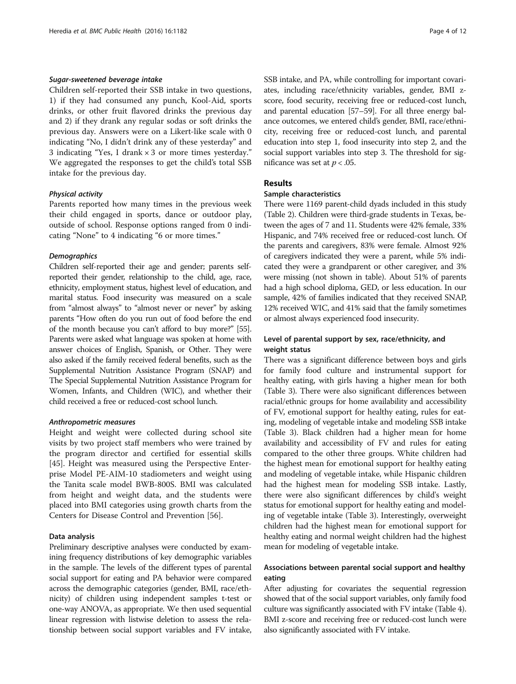### Sugar-sweetened beverage intake

Children self-reported their SSB intake in two questions, 1) if they had consumed any punch, Kool-Aid, sports drinks, or other fruit flavored drinks the previous day and 2) if they drank any regular sodas or soft drinks the previous day. Answers were on a Likert-like scale with 0 indicating "No, I didn't drink any of these yesterday" and 3 indicating "Yes, I drank × 3 or more times yesterday." We aggregated the responses to get the child's total SSB intake for the previous day.

### Physical activity

Parents reported how many times in the previous week their child engaged in sports, dance or outdoor play, outside of school. Response options ranged from 0 indicating "None" to 4 indicating "6 or more times."

### **Demographics**

Children self-reported their age and gender; parents selfreported their gender, relationship to the child, age, race, ethnicity, employment status, highest level of education, and marital status. Food insecurity was measured on a scale from "almost always" to "almost never or never" by asking parents "How often do you run out of food before the end of the month because you can't afford to buy more?" [\[55](#page-11-0)]. Parents were asked what language was spoken at home with answer choices of English, Spanish, or Other. They were also asked if the family received federal benefits, such as the Supplemental Nutrition Assistance Program (SNAP) and The Special Supplemental Nutrition Assistance Program for Women, Infants, and Children (WIC), and whether their child received a free or reduced-cost school lunch.

### Anthropometric measures

Height and weight were collected during school site visits by two project staff members who were trained by the program director and certified for essential skills [[45\]](#page-10-0). Height was measured using the Perspective Enterprise Model PE-AIM-10 stadiometers and weight using the Tanita scale model BWB-800S. BMI was calculated from height and weight data, and the students were placed into BMI categories using growth charts from the Centers for Disease Control and Prevention [\[56](#page-11-0)].

### Data analysis

Preliminary descriptive analyses were conducted by examining frequency distributions of key demographic variables in the sample. The levels of the different types of parental social support for eating and PA behavior were compared across the demographic categories (gender, BMI, race/ethnicity) of children using independent samples t-test or one-way ANOVA, as appropriate. We then used sequential linear regression with listwise deletion to assess the relationship between social support variables and FV intake, SSB intake, and PA, while controlling for important covariates, including race/ethnicity variables, gender, BMI zscore, food security, receiving free or reduced-cost lunch, and parental education [\[57](#page-11-0)–[59\]](#page-11-0). For all three energy balance outcomes, we entered child's gender, BMI, race/ethnicity, receiving free or reduced-cost lunch, and parental education into step 1, food insecurity into step 2, and the social support variables into step 3. The threshold for significance was set at  $p < .05$ .

# Results

### Sample characteristics

There were 1169 parent-child dyads included in this study (Table [2\)](#page-4-0). Children were third-grade students in Texas, between the ages of 7 and 11. Students were 42% female, 33% Hispanic, and 74% received free or reduced-cost lunch. Of the parents and caregivers, 83% were female. Almost 92% of caregivers indicated they were a parent, while 5% indicated they were a grandparent or other caregiver, and 3% were missing (not shown in table). About 51% of parents had a high school diploma, GED, or less education. In our sample, 42% of families indicated that they received SNAP, 12% received WIC, and 41% said that the family sometimes or almost always experienced food insecurity.

## Level of parental support by sex, race/ethnicity, and weight status

There was a significant difference between boys and girls for family food culture and instrumental support for healthy eating, with girls having a higher mean for both (Table [3\)](#page-5-0). There were also significant differences between racial/ethnic groups for home availability and accessibility of FV, emotional support for healthy eating, rules for eating, modeling of vegetable intake and modeling SSB intake (Table [3](#page-5-0)). Black children had a higher mean for home availability and accessibility of FV and rules for eating compared to the other three groups. White children had the highest mean for emotional support for healthy eating and modeling of vegetable intake, while Hispanic children had the highest mean for modeling SSB intake. Lastly, there were also significant differences by child's weight status for emotional support for healthy eating and modeling of vegetable intake (Table [3\)](#page-5-0). Interestingly, overweight children had the highest mean for emotional support for healthy eating and normal weight children had the highest mean for modeling of vegetable intake.

# Associations between parental social support and healthy eating

After adjusting for covariates the sequential regression showed that of the social support variables, only family food culture was significantly associated with FV intake (Table [4](#page-6-0)). BMI z-score and receiving free or reduced-cost lunch were also significantly associated with FV intake.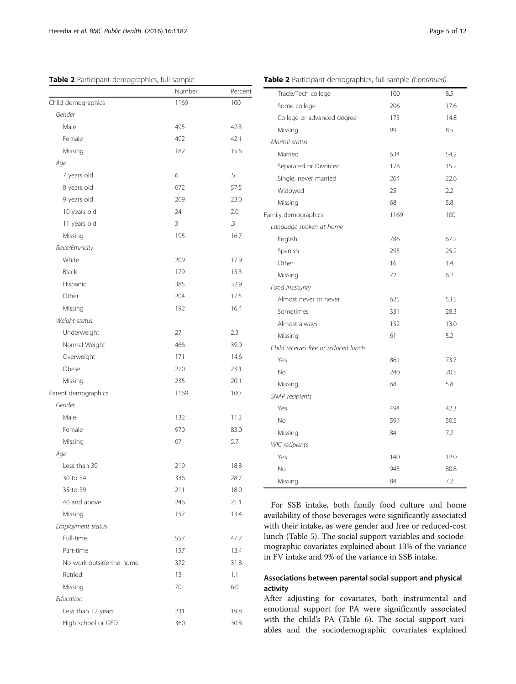### <span id="page-4-0"></span>Table 2 Participant demographics, full sample

| Table 2 Participant demographics, full sample (Continued) |  |  |
|-----------------------------------------------------------|--|--|

|                          | Number | Percent         |
|--------------------------|--------|-----------------|
| Child demographics       | 1169   | 100             |
| Gender                   |        |                 |
| Male                     | 495    | 42.3            |
| Female                   | 492    | 42.1            |
| Missing                  | 182    | 15.6            |
| Age                      |        |                 |
| 7 years old              | 6      | $\overline{.5}$ |
| 8 years old              | 672    | 57.5            |
| 9 years old              | 269    | 23.0            |
| 10 years old             | 24     | 2.0             |
| 11 years old             | 3      | .3              |
| Missing                  | 195    | 16.7            |
| Race/Ethnicity           |        |                 |
| White                    | 209    | 17.9            |
| Black                    | 179    | 15.3            |
| Hispanic                 | 385    | 32.9            |
| Other                    | 204    | 17.5            |
| Missing                  | 192    | 16.4            |
| Weight status            |        |                 |
| Underweight              | 27     | 2.3             |
| Normal Weight            | 466    | 39.9            |
| Overweight               | 171    | 14.6            |
| Obese                    | 270    | 23.1            |
| Missing                  | 235    | 20.1            |
| Parent demographics      | 1169   | 100             |
| Gender                   |        |                 |
| Male                     | 132    | 11.3            |
| Female                   | 970    | 83.0            |
| Missing                  | 67     | 5.7             |
| Age                      |        |                 |
| Less than 30             | 219    | 18.8            |
| 30 to 34                 | 336    | 28.7            |
| 35 to 39                 | 211    | 18.0            |
| 40 and above             | 246    | 21.1            |
| Missing                  | 157    | 13.4            |
| Employment status        |        |                 |
| Full-time                | 557    | 47.7            |
| Part-time                | 157    | 13.4            |
| No work outside the home | 372    | 31.8            |
| Retried                  | 13     | 1.1             |
| Missing                  | 70     | 6.0             |
| Education                |        |                 |
| Less than 12 years       | 231    | 19.8            |
| High school or GED       | 360    | 30.8            |
|                          |        |                 |

| Some college<br>206<br>17.6<br>College or advanced degree<br>173<br>14.8<br>Missing<br>99<br>8.5<br>Marital status<br>Married<br>634<br>54.2<br>15.2<br>Separated or Divorced<br>178<br>22.6<br>Single, never married<br>264<br>Widowed<br>25<br>2.2<br>68<br>5.8<br>Missing<br>Family demographics<br>1169<br>100<br>Language spoken at home<br>English<br>786<br>67.2<br>Spanish<br>295<br>25.2<br>Other<br>16<br>1.4<br>6.2<br>Missing<br>72<br>Food insecurity<br>625<br>Almost never or never<br>53.5<br>331<br>28.3<br>Sometimes<br>Almost always<br>152<br>13.0<br>5.2<br>61<br>Missing<br>Child receives free or reduced lunch<br>Yes<br>73.7<br>861<br>20.5<br><b>No</b><br>240<br>5.8<br>68<br>Missing<br>SNAP recipients<br>494<br>42.3<br>Yes<br>50.5<br>No<br>591<br>84<br>7.2<br>Missing<br><b>WIC</b> recipients<br>Yes<br>140<br>12.0<br>No<br>945<br>80.8<br>84<br>7.2<br>Missing | Trade/Tech college | 100 | 8.5 |
|----------------------------------------------------------------------------------------------------------------------------------------------------------------------------------------------------------------------------------------------------------------------------------------------------------------------------------------------------------------------------------------------------------------------------------------------------------------------------------------------------------------------------------------------------------------------------------------------------------------------------------------------------------------------------------------------------------------------------------------------------------------------------------------------------------------------------------------------------------------------------------------------------|--------------------|-----|-----|
|                                                                                                                                                                                                                                                                                                                                                                                                                                                                                                                                                                                                                                                                                                                                                                                                                                                                                                    |                    |     |     |
|                                                                                                                                                                                                                                                                                                                                                                                                                                                                                                                                                                                                                                                                                                                                                                                                                                                                                                    |                    |     |     |
|                                                                                                                                                                                                                                                                                                                                                                                                                                                                                                                                                                                                                                                                                                                                                                                                                                                                                                    |                    |     |     |
|                                                                                                                                                                                                                                                                                                                                                                                                                                                                                                                                                                                                                                                                                                                                                                                                                                                                                                    |                    |     |     |
|                                                                                                                                                                                                                                                                                                                                                                                                                                                                                                                                                                                                                                                                                                                                                                                                                                                                                                    |                    |     |     |
|                                                                                                                                                                                                                                                                                                                                                                                                                                                                                                                                                                                                                                                                                                                                                                                                                                                                                                    |                    |     |     |
|                                                                                                                                                                                                                                                                                                                                                                                                                                                                                                                                                                                                                                                                                                                                                                                                                                                                                                    |                    |     |     |
|                                                                                                                                                                                                                                                                                                                                                                                                                                                                                                                                                                                                                                                                                                                                                                                                                                                                                                    |                    |     |     |
|                                                                                                                                                                                                                                                                                                                                                                                                                                                                                                                                                                                                                                                                                                                                                                                                                                                                                                    |                    |     |     |
|                                                                                                                                                                                                                                                                                                                                                                                                                                                                                                                                                                                                                                                                                                                                                                                                                                                                                                    |                    |     |     |
|                                                                                                                                                                                                                                                                                                                                                                                                                                                                                                                                                                                                                                                                                                                                                                                                                                                                                                    |                    |     |     |
|                                                                                                                                                                                                                                                                                                                                                                                                                                                                                                                                                                                                                                                                                                                                                                                                                                                                                                    |                    |     |     |
|                                                                                                                                                                                                                                                                                                                                                                                                                                                                                                                                                                                                                                                                                                                                                                                                                                                                                                    |                    |     |     |
|                                                                                                                                                                                                                                                                                                                                                                                                                                                                                                                                                                                                                                                                                                                                                                                                                                                                                                    |                    |     |     |
|                                                                                                                                                                                                                                                                                                                                                                                                                                                                                                                                                                                                                                                                                                                                                                                                                                                                                                    |                    |     |     |
|                                                                                                                                                                                                                                                                                                                                                                                                                                                                                                                                                                                                                                                                                                                                                                                                                                                                                                    |                    |     |     |
|                                                                                                                                                                                                                                                                                                                                                                                                                                                                                                                                                                                                                                                                                                                                                                                                                                                                                                    |                    |     |     |
|                                                                                                                                                                                                                                                                                                                                                                                                                                                                                                                                                                                                                                                                                                                                                                                                                                                                                                    |                    |     |     |
|                                                                                                                                                                                                                                                                                                                                                                                                                                                                                                                                                                                                                                                                                                                                                                                                                                                                                                    |                    |     |     |
|                                                                                                                                                                                                                                                                                                                                                                                                                                                                                                                                                                                                                                                                                                                                                                                                                                                                                                    |                    |     |     |
|                                                                                                                                                                                                                                                                                                                                                                                                                                                                                                                                                                                                                                                                                                                                                                                                                                                                                                    |                    |     |     |
|                                                                                                                                                                                                                                                                                                                                                                                                                                                                                                                                                                                                                                                                                                                                                                                                                                                                                                    |                    |     |     |
|                                                                                                                                                                                                                                                                                                                                                                                                                                                                                                                                                                                                                                                                                                                                                                                                                                                                                                    |                    |     |     |
|                                                                                                                                                                                                                                                                                                                                                                                                                                                                                                                                                                                                                                                                                                                                                                                                                                                                                                    |                    |     |     |
|                                                                                                                                                                                                                                                                                                                                                                                                                                                                                                                                                                                                                                                                                                                                                                                                                                                                                                    |                    |     |     |
|                                                                                                                                                                                                                                                                                                                                                                                                                                                                                                                                                                                                                                                                                                                                                                                                                                                                                                    |                    |     |     |
|                                                                                                                                                                                                                                                                                                                                                                                                                                                                                                                                                                                                                                                                                                                                                                                                                                                                                                    |                    |     |     |
|                                                                                                                                                                                                                                                                                                                                                                                                                                                                                                                                                                                                                                                                                                                                                                                                                                                                                                    |                    |     |     |
|                                                                                                                                                                                                                                                                                                                                                                                                                                                                                                                                                                                                                                                                                                                                                                                                                                                                                                    |                    |     |     |
|                                                                                                                                                                                                                                                                                                                                                                                                                                                                                                                                                                                                                                                                                                                                                                                                                                                                                                    |                    |     |     |
|                                                                                                                                                                                                                                                                                                                                                                                                                                                                                                                                                                                                                                                                                                                                                                                                                                                                                                    |                    |     |     |
|                                                                                                                                                                                                                                                                                                                                                                                                                                                                                                                                                                                                                                                                                                                                                                                                                                                                                                    |                    |     |     |

For SSB intake, both family food culture and home availability of those beverages were significantly associated with their intake, as were gender and free or reduced-cost lunch (Table [5](#page-6-0)). The social support variables and sociodemographic covariates explained about 13% of the variance in FV intake and 9% of the variance in SSB intake.

# Associations between parental social support and physical activity

After adjusting for covariates, both instrumental and emotional support for PA were significantly associated with the child's PA (Table [6\)](#page-7-0). The social support variables and the sociodemographic covariates explained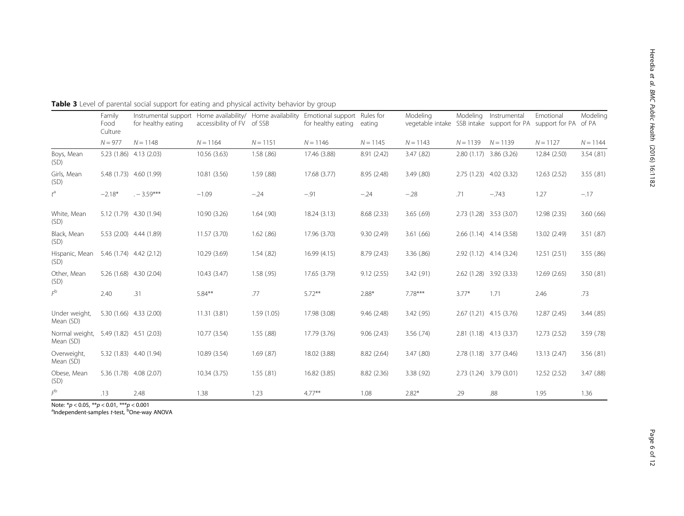|                             | Family<br>Food<br>Culture | Instrumental support Home availability/ Home availability<br>for healthy eating | accessibility of FV of SSB |            | Emotional support Rules for<br>for healthy eating | eating      | Modeling<br>vegetable intake SSB intake support for PA support for PA of PA | Modeling   | Instrumental             | Emotional    | Modeling   |
|-----------------------------|---------------------------|---------------------------------------------------------------------------------|----------------------------|------------|---------------------------------------------------|-------------|-----------------------------------------------------------------------------|------------|--------------------------|--------------|------------|
|                             | $N = 977$                 | $N = 1148$                                                                      | $N = 1164$                 | $N = 1151$ | $N = 1146$                                        | $N = 1145$  | $N = 1143$                                                                  | $N = 1139$ | $N = 1139$               | $N = 1127$   | $N = 1144$ |
| Boys, Mean<br>(SD)          |                           | 5.23 (1.86) 4.13 (2.03)                                                         | 10.56 (3.63)               | 1.58(.86)  | 17.46 (3.88)                                      | 8.91 (2.42) | 3.47 (.82)                                                                  |            | 2.80 (1.17) 3.86 (3.26)  | 12.84 (2.50) | 3.54(.81)  |
| Girls, Mean<br>(SD)         |                           | 5.48 (1.73) 4.60 (1.99)                                                         | 10.81 (3.56)               | 1.59(0.88) | 17.68 (3.77)                                      | 8.95 (2.48) | 3.49(.80)                                                                   |            | 2.75 (1.23) 4.02 (3.32)  | 12.63(2.52)  | 3.55(.81)  |
| $t^{\rm a}$                 | $-2.18*$                  | $. -3.59***$                                                                    | $-1.09$                    | $-.24$     | $-.91$                                            | $-.24$      | $-.28$                                                                      | .71        | $-.743$                  | 1.27         | $-.17$     |
| White, Mean<br>(SD)         |                           | 5.12 (1.79) 4.30 (1.94)                                                         | 10.90 (3.26)               | 1.64(.90)  | 18.24 (3.13)                                      | 8.68 (2.33) | 3.65(.69)                                                                   |            | 2.73 (1.28) 3.53 (3.07)  | 12.98 (2.35) | 3.60(66)   |
| Black, Mean<br>(SD)         |                           | 5.53 (2.00) 4.44 (1.89)                                                         | 11.57 (3.70)               | 1.62(.86)  | 17.96 (3.70)                                      | 9.30(2.49)  | 3.61(.66)                                                                   |            | $2.66(1.14)$ 4.14 (3.58) | 13.02 (2.49) | 3.51(.87)  |
| Hispanic, Mean<br>(SD)      |                           | 5.46 (1.74) 4.42 (2.12)                                                         | 10.29 (3.69)               | 1.54(.82)  | 16.99(4.15)                                       | 8.79 (2.43) | 3.36(.86)                                                                   |            | 2.92 (1.12) 4.14 (3.24)  | 12.51(2.51)  | 3.55 (.86) |
| Other, Mean<br>(SD)         |                           | 5.26 (1.68) 4.30 (2.04)                                                         | 10.43(3.47)                | 1.58(.95)  | 17.65 (3.79)                                      | 9.12(2.55)  | 3.42(.91)                                                                   |            | 2.62 (1.28) 3.92 (3.33)  | 12.69 (2.65) | 3.50(.81)  |
| $F^{\rm b}$                 | 2.40                      | .31                                                                             | $5.84***$                  | .77        | $5.72***$                                         | $2.88*$     | 7.78***                                                                     | $3.77*$    | 1.71                     | 2.46         | .73        |
| Under weight,<br>Mean (SD)  |                           | 5.30 (1.66) 4.33 (2.00)                                                         | 11.31(3.81)                | 1.59(1.05) | 17.98 (3.08)                                      | 9.46(2.48)  | 3.42 (.95)                                                                  |            | 2.67 (1.21) 4.15 (3.76)  | 12.87 (2.45) | 3.44(.85)  |
| Normal weight,<br>Mean (SD) |                           | 5.49 (1.82) 4.51 (2.03)                                                         | 10.77 (3.54)               | 1.55(.88)  | 17.79 (3.76)                                      | 9.06(2.43)  | 3.56(.74)                                                                   |            | 2.81 (1.18) 4.13 (3.37)  | 12.73 (2.52) | 3.59(0.78) |
| Overweight,<br>Mean (SD)    |                           | 5.32 (1.83) 4.40 (1.94)                                                         | 10.89 (3.54)               | 1.69(.87)  | 18.02 (3.88)                                      | 8.82 (2.64) | 3.47 (.80)                                                                  |            | 2.78 (1.18) 3.77 (3.46)  | 13.13(2.47)  | 3.56(.81)  |
| Obese, Mean<br>(SD)         |                           | 5.36 (1.78) 4.08 (2.07)                                                         | 10.34 (3.75)               | 1.55(.81)  | 16.82 (3.85)                                      | 8.82 (2.36) | 3.38(.92)                                                                   |            | 2.73 (1.24) 3.79 (3.01)  | 12.52(2.52)  | 3.47(.88)  |
| $\digamma^\text{b}$         | .13                       | 2.48                                                                            | 1.38                       | 1.23       | $4.77**$                                          | 1.08        | $2.82*$                                                                     | .29        | .88                      | 1.95         | 1.36       |

<span id="page-5-0"></span>Table 3 Level of parental social support for eating and physical activity behavior by group

Note: \**p* < 0.05, \*\**p* < 0.01, \*\*\**p* < 0.001<br><sup>a</sup>Independent-samples *t*-test, <sup>b</sup>One-way ANOVA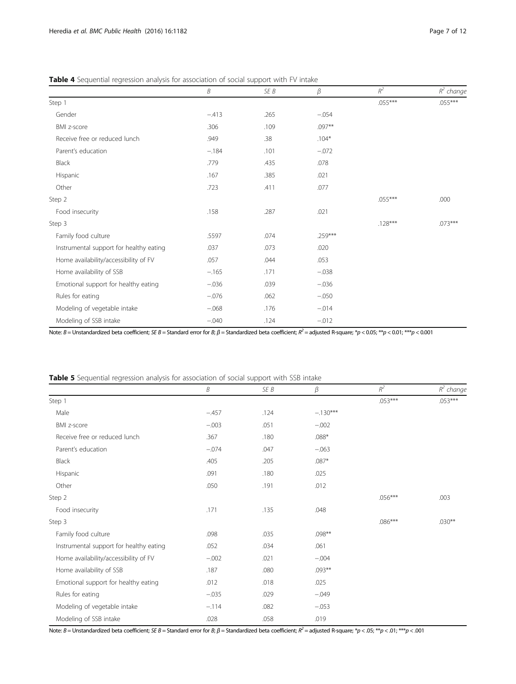|                                         | $\boldsymbol{B}$ | SE B | $\beta$ | $R^2$     | $R^2$ change |
|-----------------------------------------|------------------|------|---------|-----------|--------------|
| Step 1                                  |                  |      |         | .055***   | $.055***$    |
| Gender                                  | $-.413$          | .265 | $-.054$ |           |              |
| BMI z-score                             | .306             | .109 | .097**  |           |              |
| Receive free or reduced lunch           | .949             | .38  | $.104*$ |           |              |
| Parent's education                      | $-.184$          | .101 | $-.072$ |           |              |
| Black                                   | .779             | .435 | .078    |           |              |
| Hispanic                                | .167             | .385 | .021    |           |              |
| Other                                   | .723             | .411 | .077    |           |              |
| Step 2                                  |                  |      |         | $.055***$ | .000         |
| Food insecurity                         | .158             | .287 | .021    |           |              |
| Step 3                                  |                  |      |         | $.128***$ | $.073***$    |
| Family food culture                     | .5597            | .074 | .259*** |           |              |
| Instrumental support for healthy eating | .037             | .073 | .020    |           |              |
| Home availability/accessibility of FV   | .057             | .044 | .053    |           |              |
| Home availability of SSB                | $-.165$          | .171 | $-.038$ |           |              |
| Emotional support for healthy eating    | $-.036$          | .039 | $-.036$ |           |              |
| Rules for eating                        | $-.076$          | .062 | $-.050$ |           |              |
| Modeling of vegetable intake            | $-.068$          | .176 | $-.014$ |           |              |
| Modeling of SSB intake                  | $-.040$          | .124 | $-.012$ |           |              |

<span id="page-6-0"></span>Table 4 Sequential regression analysis for association of social support with FV intake

Note:  $B =$  Unstandardized beta coefficient; SE B = Standard error for B;  $\beta$  = Standardized beta coefficient;  $R^2$  = adjusted R-square; \*p < 0.05; \*\*p < 0.01; \*\*\*p < 0.001

Table 5 Sequential regression analysis for association of social support with SSB intake

|                                         | $\boldsymbol{\mathcal{B}}$ | SE B | β          | $R^2$     | $R^2$ change |
|-----------------------------------------|----------------------------|------|------------|-----------|--------------|
| Step 1                                  |                            |      |            | $.053***$ | .053***      |
| Male                                    | $-.457$                    | .124 | $-.130***$ |           |              |
| BMI z-score                             | $-.003$                    | .051 | $-.002$    |           |              |
| Receive free or reduced lunch           | .367                       | .180 | $.088*$    |           |              |
| Parent's education                      | $-.074$                    | .047 | $-.063$    |           |              |
| Black                                   | .405                       | .205 | $.087*$    |           |              |
| Hispanic                                | .091                       | .180 | .025       |           |              |
| Other                                   | .050                       | .191 | .012       |           |              |
| Step 2                                  |                            |      |            | .056***   | .003         |
| Food insecurity                         | .171                       | .135 | .048       |           |              |
| Step 3                                  |                            |      |            | $.086***$ | $.030**$     |
| Family food culture                     | .098                       | .035 | .098**     |           |              |
| Instrumental support for healthy eating | .052                       | .034 | .061       |           |              |
| Home availability/accessibility of FV   | $-.002$                    | .021 | $-.004$    |           |              |
| Home availability of SSB                | .187                       | .080 | .093**     |           |              |
| Emotional support for healthy eating    | .012                       | .018 | .025       |           |              |
| Rules for eating                        | $-.035$                    | .029 | $-.049$    |           |              |
| Modeling of vegetable intake            | $-.114$                    | .082 | $-.053$    |           |              |
| Modeling of SSB intake                  | .028                       | .058 | .019       |           |              |

Note:  $B =$  Unstandardized beta coefficient; SE B = Standard error for B;  $\beta$  = Standardized beta coefficient;  $R^2$  = adjusted R-square; \*p < .05; \*\*p < .01; \*\*\*p < .001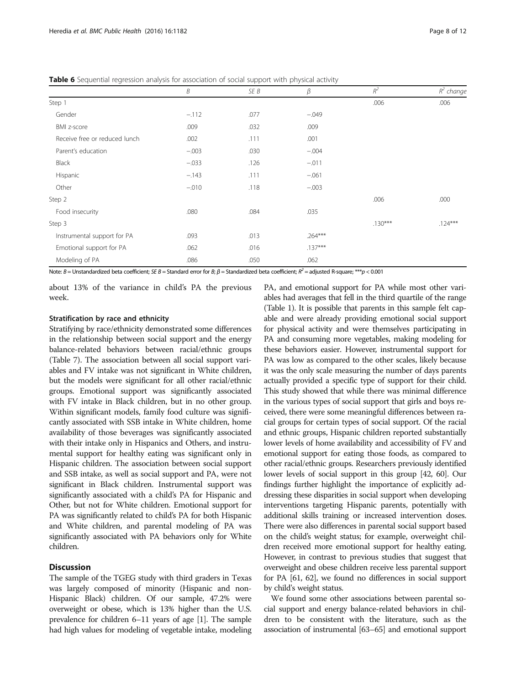|                               | Β       | SE B | $\beta$   | $R^2$     | $R^2$ change |
|-------------------------------|---------|------|-----------|-----------|--------------|
| Step 1                        |         |      |           | .006      | .006         |
| Gender                        | $-.112$ | .077 | $-.049$   |           |              |
| BMI z-score                   | .009    | .032 | .009      |           |              |
| Receive free or reduced lunch | .002    | .111 | .001      |           |              |
| Parent's education            | $-.003$ | .030 | $-.004$   |           |              |
| <b>Black</b>                  | $-.033$ | .126 | $-.011$   |           |              |
| Hispanic                      | $-.143$ | .111 | $-.061$   |           |              |
| Other                         | $-.010$ | .118 | $-.003$   |           |              |
| Step 2                        |         |      |           | .006      | .000         |
| Food insecurity               | .080    | .084 | .035      |           |              |
| Step 3                        |         |      |           | $.130***$ | $.124***$    |
| Instrumental support for PA   | .093    | .013 | $.264***$ |           |              |
| Emotional support for PA      | .062    | .016 | $.137***$ |           |              |
| Modeling of PA                | .086    | .050 | .062      |           |              |

<span id="page-7-0"></span>Table 6 Sequential regression analysis for association of social support with physical activity

Note:  $B =$  Unstandardized beta coefficient; SE B = Standard error for B;  $\beta$  = Standardized beta coefficient;  $R^2$  = adjusted R-square; \*\*\*p < 0.001

about 13% of the variance in child's PA the previous week.

#### Stratification by race and ethnicity

Stratifying by race/ethnicity demonstrated some differences in the relationship between social support and the energy balance-related behaviors between racial/ethnic groups (Table [7](#page-8-0)). The association between all social support variables and FV intake was not significant in White children, but the models were significant for all other racial/ethnic groups. Emotional support was significantly associated with FV intake in Black children, but in no other group. Within significant models, family food culture was significantly associated with SSB intake in White children, home availability of those beverages was significantly associated with their intake only in Hispanics and Others, and instrumental support for healthy eating was significant only in Hispanic children. The association between social support and SSB intake, as well as social support and PA, were not significant in Black children. Instrumental support was significantly associated with a child's PA for Hispanic and Other, but not for White children. Emotional support for PA was significantly related to child's PA for both Hispanic and White children, and parental modeling of PA was significantly associated with PA behaviors only for White children.

## **Discussion**

The sample of the TGEG study with third graders in Texas was largely composed of minority (Hispanic and non-Hispanic Black) children. Of our sample, 47.2% were overweight or obese, which is 13% higher than the U.S. prevalence for children 6–11 years of age [\[1](#page-10-0)]. The sample had high values for modeling of vegetable intake, modeling

PA, and emotional support for PA while most other variables had averages that fell in the third quartile of the range (Table [1\)](#page-2-0). It is possible that parents in this sample felt capable and were already providing emotional social support for physical activity and were themselves participating in PA and consuming more vegetables, making modeling for these behaviors easier. However, instrumental support for PA was low as compared to the other scales, likely because it was the only scale measuring the number of days parents actually provided a specific type of support for their child. This study showed that while there was minimal difference in the various types of social support that girls and boys received, there were some meaningful differences between racial groups for certain types of social support. Of the racial and ethnic groups, Hispanic children reported substantially lower levels of home availability and accessibility of FV and emotional support for eating those foods, as compared to other racial/ethnic groups. Researchers previously identified lower levels of social support in this group [\[42,](#page-10-0) [60](#page-11-0)]. Our findings further highlight the importance of explicitly addressing these disparities in social support when developing interventions targeting Hispanic parents, potentially with additional skills training or increased intervention doses. There were also differences in parental social support based on the child's weight status; for example, overweight children received more emotional support for healthy eating. However, in contrast to previous studies that suggest that overweight and obese children receive less parental support for PA [[61](#page-11-0), [62](#page-11-0)], we found no differences in social support by child's weight status.

We found some other associations between parental social support and energy balance-related behaviors in children to be consistent with the literature, such as the association of instrumental [\[63](#page-11-0)–[65](#page-11-0)] and emotional support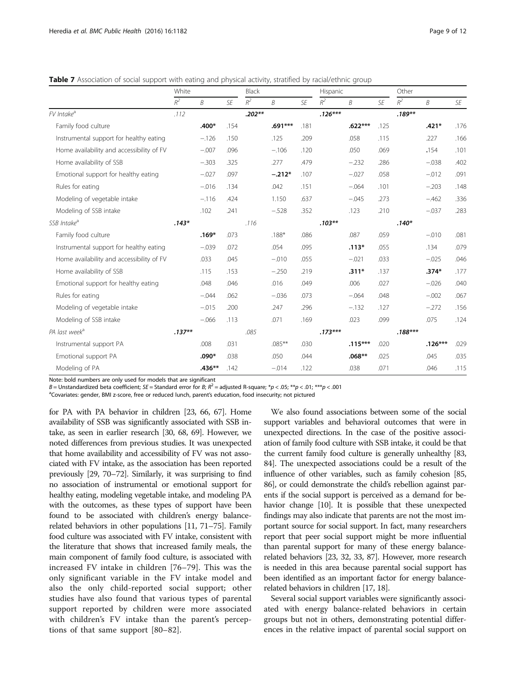<span id="page-8-0"></span>Table 7 Association of social support with eating and physical activity, stratified by racial/ethnic group

|                                           | White    |                |      | Black    |           |      | Hispanic  |           |      | Other     |           |      |
|-------------------------------------------|----------|----------------|------|----------|-----------|------|-----------|-----------|------|-----------|-----------|------|
|                                           | $R^2$    | $\overline{B}$ | SE   | $R^2\,$  | B         | SE   | $R^2$     | B         | SE   | $R^2$     | B         | SE   |
| FV Intake <sup>a</sup>                    | .112     |                |      | $.202**$ |           |      | $.126***$ |           |      | $.189**$  |           |      |
| Family food culture                       |          | $.400*$        | .154 |          | $.691***$ | .181 |           | $.622***$ | .125 |           | $.421*$   | .176 |
| Instrumental support for healthy eating   |          | $-.126$        | .150 |          | .125      | .209 |           | .058      | .115 |           | .227      | .166 |
| Home availability and accessibility of FV |          | $-.007$        | .096 |          | $-.106$   | .120 |           | .050      | .069 |           | .154      | .101 |
| Home availability of SSB                  |          | $-.303$        | .325 |          | .277      | .479 |           | $-.232$   | .286 |           | $-.038$   | .402 |
| Emotional support for healthy eating      |          | $-.027$        | .097 |          | $-.212*$  | .107 |           | $-.027$   | .058 |           | $-.012$   | .091 |
| Rules for eating                          |          | $-.016$        | .134 |          | .042      | .151 |           | $-.064$   | .101 |           | $-.203$   | .148 |
| Modeling of vegetable intake              |          | $-.116$        | .424 |          | 1.150     | .637 |           | $-.045$   | .273 |           | $-.462$   | .336 |
| Modeling of SSB intake                    |          | .102           | .241 |          | $-.528$   | .352 |           | .123      | .210 |           | $-.037$   | .283 |
| SSB Intake <sup>a</sup>                   | $.143*$  |                |      | .116     |           |      | $.103***$ |           |      | $.140*$   |           |      |
| Family food culture                       |          | $.169*$        | .073 |          | $.188*$   | .086 |           | .087      | .059 |           | $-.010$   | .081 |
| Instrumental support for healthy eating   |          | $-.039$        | .072 |          | .054      | .095 |           | $.113*$   | .055 |           | .134      | .079 |
| Home availability and accessibility of FV |          | .033           | .045 |          | $-.010$   | .055 |           | $-.021$   | .033 |           | $-.025$   | .046 |
| Home availability of SSB                  |          | .115           | .153 |          | $-.250$   | .219 |           | $.311*$   | .137 |           | $.374*$   | .177 |
| Emotional support for healthy eating      |          | .048           | .046 |          | .016      | .049 |           | .006      | .027 |           | $-.026$   | .040 |
| Rules for eating                          |          | $-.044$        | .062 |          | $-.036$   | .073 |           | $-.064$   | .048 |           | $-.002$   | .067 |
| Modeling of vegetable intake              |          | $-.015$        | .200 |          | .247      | .296 |           | $-.132$   | .127 |           | $-.272$   | .156 |
| Modeling of SSB intake                    |          | $-.066$        | .113 |          | .071      | .169 |           | .023      | .099 |           | .075      | .124 |
| PA last week <sup>a</sup>                 | $.137**$ |                |      | .085     |           |      | $.173***$ |           |      | $.188***$ |           |      |
| Instrumental support PA                   |          | .008           | .031 |          | $.085***$ | .030 |           | $.115***$ | .020 |           | $.126***$ | .029 |
| Emotional support PA                      |          | .090*          | .038 |          | .050      | .044 |           | $.068**$  | .025 |           | .045      | .035 |
| Modeling of PA                            |          | $.436**$       | .142 |          | $-.014$   | .122 |           | .038      | .071 |           | .046      | .115 |

Note: bold numbers are only used for models that are significant

B = Unstandardized beta coefficient; SE = Standard error for B;  $R^2$  = adjusted R-square; \*p < .05; \*\*p < .01; \*\*\*p < .001

<sup>a</sup>Covariates: gender, BMI z-score, free or reduced lunch, parent's education, food insecurity; not pictured

for PA with PA behavior in children [\[23,](#page-10-0) [66, 67](#page-11-0)]. Home availability of SSB was significantly associated with SSB intake, as seen in earlier research [\[30,](#page-10-0) [68](#page-11-0), [69](#page-11-0)]. However, we noted differences from previous studies. It was unexpected that home availability and accessibility of FV was not associated with FV intake, as the association has been reported previously [\[29,](#page-10-0) [70](#page-11-0)–[72](#page-11-0)]. Similarly, it was surprising to find no association of instrumental or emotional support for healthy eating, modeling vegetable intake, and modeling PA with the outcomes, as these types of support have been found to be associated with children's energy balancerelated behaviors in other populations [\[11](#page-10-0), [71](#page-11-0)–[75\]](#page-11-0). Family food culture was associated with FV intake, consistent with the literature that shows that increased family meals, the main component of family food culture, is associated with increased FV intake in children [[76](#page-11-0)–[79\]](#page-11-0). This was the only significant variable in the FV intake model and also the only child-reported social support; other studies have also found that various types of parental support reported by children were more associated with children's FV intake than the parent's perceptions of that same support [[80](#page-11-0)–[82](#page-11-0)].

We also found associations between some of the social support variables and behavioral outcomes that were in unexpected directions. In the case of the positive association of family food culture with SSB intake, it could be that the current family food culture is generally unhealthy [\[83](#page-11-0), [84](#page-11-0)]. The unexpected associations could be a result of the influence of other variables, such as family cohesion [\[85](#page-11-0), [86](#page-11-0)], or could demonstrate the child's rebellion against parents if the social support is perceived as a demand for behavior change [\[10](#page-10-0)]. It is possible that these unexpected findings may also indicate that parents are not the most important source for social support. In fact, many researchers report that peer social support might be more influential than parental support for many of these energy balancerelated behaviors [\[23, 32, 33](#page-10-0), [87](#page-11-0)]. However, more research is needed in this area because parental social support has been identified as an important factor for energy balancerelated behaviors in children [\[17, 18\]](#page-10-0).

Several social support variables were significantly associated with energy balance-related behaviors in certain groups but not in others, demonstrating potential differences in the relative impact of parental social support on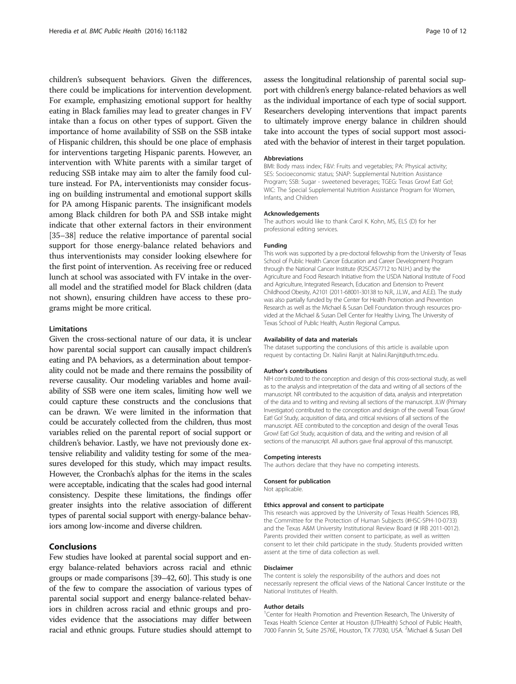children's subsequent behaviors. Given the differences, there could be implications for intervention development. For example, emphasizing emotional support for healthy eating in Black families may lead to greater changes in FV intake than a focus on other types of support. Given the importance of home availability of SSB on the SSB intake of Hispanic children, this should be one place of emphasis for interventions targeting Hispanic parents. However, an intervention with White parents with a similar target of reducing SSB intake may aim to alter the family food culture instead. For PA, interventionists may consider focusing on building instrumental and emotional support skills for PA among Hispanic parents. The insignificant models among Black children for both PA and SSB intake might indicate that other external factors in their environment [[35](#page-10-0)–[38\]](#page-10-0) reduce the relative importance of parental social support for those energy-balance related behaviors and thus interventionists may consider looking elsewhere for the first point of intervention. As receiving free or reduced lunch at school was associated with FV intake in the overall model and the stratified model for Black children (data not shown), ensuring children have access to these programs might be more critical.

### Limitations

Given the cross-sectional nature of our data, it is unclear how parental social support can causally impact children's eating and PA behaviors, as a determination about temporality could not be made and there remains the possibility of reverse causality. Our modeling variables and home availability of SSB were one item scales, limiting how well we could capture these constructs and the conclusions that can be drawn. We were limited in the information that could be accurately collected from the children, thus most variables relied on the parental report of social support or children's behavior. Lastly, we have not previously done extensive reliability and validity testing for some of the measures developed for this study, which may impact results. However, the Cronbach's alphas for the items in the scales were acceptable, indicating that the scales had good internal consistency. Despite these limitations, the findings offer greater insights into the relative association of different types of parental social support with energy-balance behaviors among low-income and diverse children.

### Conclusions

Few studies have looked at parental social support and energy balance-related behaviors across racial and ethnic groups or made comparisons [\[39](#page-10-0)–[42,](#page-10-0) [60\]](#page-11-0). This study is one of the few to compare the association of various types of parental social support and energy balance-related behaviors in children across racial and ethnic groups and provides evidence that the associations may differ between racial and ethnic groups. Future studies should attempt to

assess the longitudinal relationship of parental social support with children's energy balance-related behaviors as well as the individual importance of each type of social support. Researchers developing interventions that impact parents to ultimately improve energy balance in children should take into account the types of social support most associated with the behavior of interest in their target population.

#### Abbreviations

BMI: Body mass index; F&V: Fruits and vegetables; PA: Physical activity; SES: Socioeconomic status; SNAP: Supplemental Nutrition Assistance Program; SSB: Sugar - sweetened beverages; TGEG: Texas Grow! Eat! Go!; WIC: The Special Supplemental Nutrition Assistance Program for Women, Infants, and Children

#### Acknowledgements

The authors would like to thank Carol K. Kohn, MS, ELS (D) for her professional editing services.

#### Funding

This work was supported by a pre-doctoral fellowship from the University of Texas School of Public Health Cancer Education and Career Development Program through the National Cancer Institute (R25CA57712 to N.I.H.) and by the Agriculture and Food Research Initiative from the USDA National Institute of Food and Agriculture, Integrated Research, Education and Extension to Prevent Childhood Obesity, A2101 (2011-68001-30138 to N.R., J.L.W., and A.E.E). The study was also partially funded by the Center for Health Promotion and Prevention Research as well as the Michael & Susan Dell Foundation through resources provided at the Michael & Susan Dell Center for Healthy Living, The University of Texas School of Public Health, Austin Regional Campus.

#### Availability of data and materials

The dataset supporting the conclusions of this article is available upon request by contacting Dr. Nalini Ranjit at Nalini.Ranjit@uth.tmc.edu.

#### Author's contributions

NIH contributed to the conception and design of this cross-sectional study, as well as to the analysis and interpretation of the data and writing of all sections of the manuscript. NR contributed to the acquisition of data, analysis and interpretation of the data and to writing and revising all sections of the manuscript. JLW (Primary Investigator) contributed to the conception and design of the overall Texas Grow! Eat! Go! Study, acquisition of data, and critical revisions of all sections of the manuscript. AEE contributed to the conception and design of the overall Texas Grow! Eat! Go! Study, acquisition of data, and the writing and revision of all sections of the manuscript. All authors gave final approval of this manuscript.

### Competing interests

The authors declare that they have no competing interests.

# Consent for publication

Not applicable.

### Ethics approval and consent to participate

This research was approved by the University of Texas Health Sciences IRB, the Committee for the Protection of Human Subjects (#HSC-SPH-10-0733) and the Texas A&M University Institutional Review Board (# IRB 2011-0012). Parents provided their written consent to participate, as well as written consent to let their child participate in the study. Students provided written assent at the time of data collection as well.

#### Disclaimer

The content is solely the responsibility of the authors and does not necessarily represent the official views of the National Cancer Institute or the National Institutes of Health.

#### Author details

<sup>1</sup> Center for Health Promotion and Prevention Research, The University of Texas Health Science Center at Houston (UTHealth) School of Public Health, 7000 Fannin St, Suite 2576E, Houston, TX 77030, USA. <sup>2</sup> Michael & Susan Dell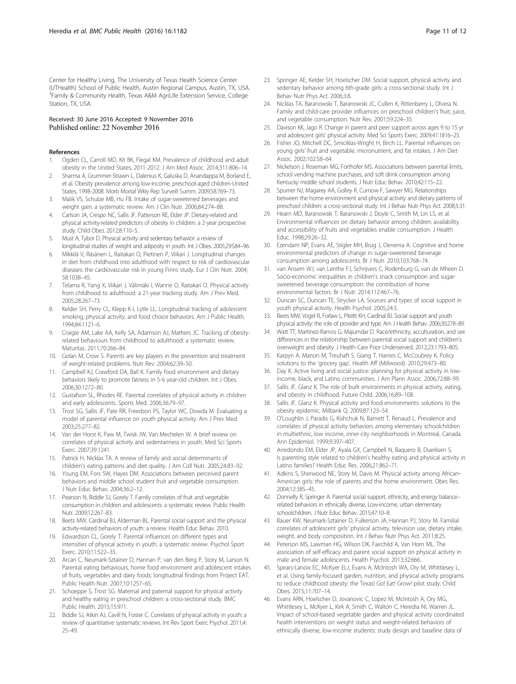<span id="page-10-0"></span>Center for Healthy Living, The University of Texas Health Science Center (UTHealth) School of Public Health, Austin Regional Campus, Austin, TX, USA. <sup>3</sup>Family & Community Health, Texas A&M AgriLife Extension Service, College Station, TX, USA.

### Received: 30 June 2016 Accepted: 9 November 2016 Published online: 22 November 2016

#### References

- 1. Ogden CL, Carroll MD, Kit BK, Flegal KM. Prevalence of childhood and adult obesity in the United States, 2011-2012. J Am Med Assoc. 2014;311:806–14.
- 2. Sharma A, Grummer-Strawn L, Dalenius K, Galuska D, Anandappa M, Borland E, et al. Obesity prevalence among low-income, preschool-aged children-United States, 1998-2008. Morb Mortal Wkly Rep Surveill Summ. 2009;58:769–73.
- 3. Malik VS, Schulze MB, Hu FB. Intake of sugar-sweetened beverages and weight gain: a systematic review. Am J Clin Nutr. 2006;84:274–88.
- 4. Carlson JA, Crespo NC, Sallis JF, Patterson RE, Elder JP. Dietary-related and physical activity-related predictors of obesity in children: a 2-year prospective study. Child Obes. 2012;8:110–5.
- 5. Must A, Tybor D. Physical activity and sedentary behavior: a review of longitudinal studies of weight and adiposity in youth. Int J Obes. 2005;29:S84–96.
- 6. Mikkilä V, Räsänen L, Raitakari O, Pietinen P, Viikari J. Longitudinal changes in diet from childhood into adulthood with respect to risk of cardiovascular diseases: the cardiovascular risk in young Finns study. Eur J Clin Nutr. 2004; 58:1038–45.
- 7. Telama R, Yang X, Viikari J, Välimäki I, Wanne O, Raitakari O. Physical activity from childhood to adulthood: a 21-year tracking study. Am J Prev Med. 2005;28:267–73.
- 8. Kelder SH, Perry CL, Klepp K-I, Lytle LL. Longitudinal tracking of adolescent smoking, physical activity, and food choice behaviors. Am J Public Health. 1994;84:1121–6.
- Craigie AM, Lake AA, Kelly SA, Adamson AJ, Mathers JC. Tracking of obesityrelated behaviours from childhood to adulthood: a systematic review. Maturitas. 2011;70:266–84.
- 10. Golan M, Crow S. Parents are key players in the prevention and treatment of weight-related problems. Nutr Rev. 2004;62:39–50.
- 11. Campbell KJ, Crawford DA, Ball K. Family food environment and dietary behaviors likely to promote fatness in 5-6 year-old children. Int J Obes. 2006;30:1272–80.
- 12. Gustafson SL, Rhodes RE. Parental correlates of physical activity in children and early adolescents. Sports Med. 2006;36:79–97.
- 13. Trost SG, Sallis JF, Pate RR, Freedson PS, Taylor WC, Dowda M. Evaluating a model of parental influence on youth physical activity. Am J Prev Med. 2003;25:277–82.
- 14. Van der Horst K, Paw M, Twisk JW, Van Mechelen W. A brief review on correlates of physical activity and sedentariness in youth. Med Sci Sports Exerc. 2007;39:1241.
- 15. Patrick H, Nicklas TA. A review of family and social determinants of children's eating patterns and diet quality. J Am Coll Nutr. 2005;24:83–92.
- 16. Young EM, Fors SW, Hayes DM. Associations between perceived parent behaviors and middle school student fruit and vegetable consumption. J Nutr Educ Behav. 2004;36:2–12.
- 17. Pearson N, Biddle SJ, Gorely T. Family correlates of fruit and vegetable consumption in children and adolescents: a systematic review. Public Health Nutr. 2009;12:267–83.
- 18. Beets MW, Cardinal BJ, Alderman BL. Parental social support and the physical activity-related behaviors of youth: a review. Health Educ Behav. 2010.
- 19. Edwardson CL, Gorely T. Parental influences on different types and intensities of physical activity in youth: a systematic review. Psychol Sport Exerc. 2010;11:522–35.
- 20. Arcan C, Neumark-Sztainer D, Hannan P, van den Berg P, Story M, Larson N. Parental eating behaviours, home food environment and adolescent intakes of fruits, vegetables and dairy foods: longitudinal findings from Project EAT. Public Health Nutr. 2007;10:1257–65.
- 21. Schoeppe S, Trost SG. Maternal and paternal support for physical activity and healthy eating in preschool children: a cross-sectional study. BMC Public Health. 2015;15:971.
- 22. Biddle SJ, Atkin AJ, Cavill N, Foster C. Correlates of physical activity in youth: a review of quantitative systematic reviews. Int Rev Sport Exerc Psychol. 2011;4: 25–49.
- 23. Springer AE, Kelder SH, Hoelscher DM. Social support, physical activity and sedentary behavior among 6th-grade girls: a cross-sectional study. Int J Behav Nutr Phys Act. 2006;3:8.
- 24. Nicklas TA, Baranowski T, Baranowski JC, Cullen K, Rittenberry L, Olvera N. Family and child-care provider influences on preschool children's fruit, juice, and vegetable consumption. Nutr Rev. 2001;59:224–35.
- 25. Davison KK, Jago R. Change in parent and peer support across ages 9 to 15 yr and adolescent girls' physical activity. Med Sci Sports Exerc. 2009;41:1816–25.
- 26. Fisher JO, Mitchell DC, Smiciklas-Wright H, Birch LL. Parental influences on young girls' fruit and vegetable, micronutrient, and fat intakes. J Am Diet Assoc. 2002;102:58–64.
- 27. Nickelson J, Roseman MG, Forthofer MS, Associations between parental limits, school vending machine purchases, and soft drink consumption among Kentucky middle school students. J Nutr Educ Behav. 2010;42:115–22.
- 28. Spurrier NJ, Magarey AA, Golley R, Curnow F, Sawyer MG. Relationships between the home environment and physical activity and dietary patterns of preschool children: a cross-sectional study. Int J Behav Nutr Phys Act. 2008;5:31.
- Hearn MD, Baranowski T, Baranowski J, Doyle C, Smith M, Lin LS, et al. Environmental influences on dietary behavior among children: availability and accessibility of fruits and vegetables enable consumption. J Health Educ. 1998;29:26–32.
- 30. Ezendam NP, Evans AE, Stigler MH, Brug J, Oenema A. Cognitive and home environmental predictors of change in sugar-sweetened beverage consumption among adolescents. Br J Nutr. 2010;103:768–74.
- 31. van Ansem WJ, van Lenthe FJ, Schrijvers C, Rodenburg G, van de Mheen D. Socio-economic inequalities in children's snack consumption and sugarsweetened beverage consumption: the contribution of home environmental factors. Br J Nutr. 2014;112:467–76.
- 32. Duncan SC, Duncan TE, Strycker LA. Sources and types of social support in youth physical activity. Health Psychol. 2005;24:3.
- 33. Beets MW, Vogel R, Forlaw L, Pitetti KH, Cardinal BJ. Social support and youth physical activity: the role of provider and type. Am J Health Behav. 2006;30:278–89.
- 34. Watt TT, Martinez-Ramos G, Majumdar D. Race/ethnicity, acculturation, and sex differences in the relationship between parental social support and children's overweight and obesity. J Health Care Poor Underserved. 2012;23:1793–805.
- 35. Karpyn A, Manon M, Treuhaft S, Giang T, Harries C, McCoubrey K. Policy solutions to the 'grocery gap'. Health Aff (Millwood). 2010;29:473–80.
- 36. Day K. Active living and social justice: planning for physical activity in lowincome, black, and Latino communities. J Am Plann Assoc. 2006;72:88–99.
- 37. Sallis JF, Glanz K. The role of built environments in physical activity, eating, and obesity in childhood. Future Child. 2006;16:89–108.
- 38. Sallis JF, Glanz K. Physical activity and food environments: solutions to the obesity epidemic. Milbank Q. 2009;87:123–54.
- 39. O'Loughlin J, Paradis G, Kishchuk N, Barnett T, Renaud L. Prevalence and correlates of physical activity behaviors among elementary schoolchildren in multiethnic, low income, inner-city neighborhoods in Montreal, Canada. Ann Epidemiol. 1999;9:397–407.
- 40. Arredondo EM, Elder JP, Ayala GX, Campbell N, Baquero B, Duerksen S. Is parenting style related to children's healthy eating and physical activity in Latino families? Health Educ Res. 2006;21:862–71.
- 41. Adkins S, Sherwood NE, Story M, Davis M. Physical activity among African-American girls: the role of parents and the home environment. Obes Res. 2004;12:38S–45.
- 42. Donnelly R, Springer A. Parental social support, ethnicity, and energy balance– related behaviors in ethnically diverse, Low-income, urban elementary schoolchildren. J Nutr Educ Behav. 2015;47:10–8.
- 43. Bauer KW, Neumark-Sztainer D, Fulkerson JA, Hannan PJ, Story M. Familial correlates of adolescent girls' physical activity, television use, dietary intake, weight, and body composition. Int J Behav Nutr Phys Act. 2011;8:25.
- 44. Peterson MS, Lawman HG, Wilson DK, Fairchild A, Van Horn ML. The association of self-efficacy and parent social support on physical activity in male and female adolescents. Health Psychol. 2013;32:666.
- 45. Spears-Lanoix EC, McKyer ELJ, Evans A, McIntosh WA, Ory M, Whittlesey L, et al. Using family-focused garden, nutrition, and physical activity programs to reduce childhood obesity: the Texas! Go! Eat! Grow! pilot study. Child Obes. 2015;11:707–14.
- 46. Evans ARN, Hoelscher D, Jovanovic C, Lopez M, McIntosh A, Ory MG, Whittlesey L, McKyer L, Kirk A, Smith C, Walton C, Heredia NI, Warren JL. Impact of school-based vegetable garden and physical activity coordinated health interventions on weight status and weight-related behaviors of ethnically diverse, low-income students: study design and baseline data of